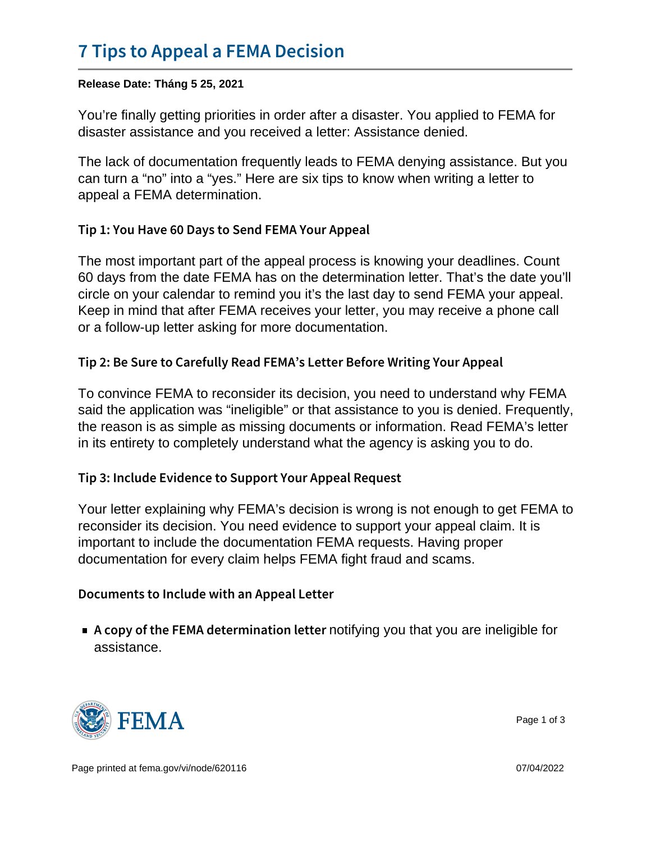## [7 Tips to Appeal a F](https://www.fema.gov/fact-sheet/7-tips-appeal-fema-decision)EMA Decision

Release Date: Tháng 5 25, 2021

You're finally getting priorities in order after a disaster. You applied to FEMA for disaster assistance and you received a letter: Assistance denied.

The lack of documentation frequently leads to FEMA denying assistance. But you can turn a "no" into a "yes." Here are six tips to know when writing a letter to appeal a FEMA determination.

Tip 1: You Have 60 Days to Send FEMA Your Appeal

The most important part of the appeal process is knowing your deadlines. Count 60 days from the date FEMA has on the determination letter. That's the date you'll circle on your calendar to remind you it's the last day to send FEMA your appeal. Keep in mind that after FEMA receives your letter, you may receive a phone call or a follow-up letter asking for more documentation.

Tip 2: Be Sure to Carefully Read FEMA s Letter Before Wri

To convince FEMA to reconsider its decision, you need to understand why FEMA said the application was "ineligible" or that assistance to you is denied. Frequently, the reason is as simple as missing documents or information. Read FEMA's letter in its entirety to completely understand what the agency is asking you to do.

Tip 3: Include Evidence to Support Your Appeal Request

Your letter explaining why FEMA's decision is wrong is not enough to get FEMA to reconsider its decision. You need evidence to support your appeal claim. It is important to include the documentation FEMA requests. Having proper documentation for every claim helps FEMA fight fraud and scams.

Documents to Include with an Appeal Letter

 $\blacksquare$  A copy of the FEMA detenotifyiing ayou cothat lyeeut based ineligible for assistance.



Page 1 of 3

Page printed at [fema.gov/vi/node/620116](https://www.fema.gov/vi/node/620116) 07/04/2022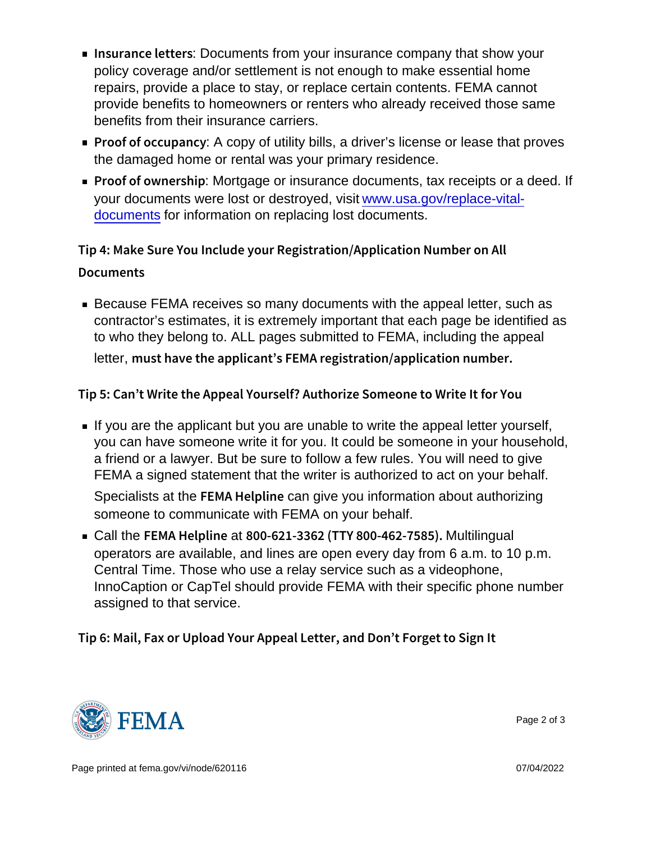- Insurance: Dectuments from your insurance company that show your policy coverage and/or settlement is not enough to make essential home repairs, provide a place to stay, or replace certain contents. FEMA cannot provide benefits to homeowners or renters who already received those same benefits from their insurance carriers.
- Proof of occupancy : A copy of utility bills, a driver's license or lease that proves the damaged home or rental was your primary residence.
- Proof of own **Mortgage or insurance documents**, tax receipts or a deed. If your documents were lost or destroyed, visit [www.usa.gov/replace-vital](http://www.usa.gov/replace-vital-documents)[documents](http://www.usa.gov/replace-vital-documents) for information on replacing lost documents.

Tip 4: Make Sure You Include your Registration/Application Documents

**Because FEMA receives so many documents with the appeal letter, such as** contractor's estimates, it is extremely important that each page be identified as to who they belong to. ALL pages submitted to FEMA, including the appeal

letter, must have the applicant s FEMA registration/applicat

Tip 5: Can t Write the Appeal Yourself? Authorize Someone

If you are the applicant but you are unable to write the appeal letter yourself, you can have someone write it for you. It could be someone in your household, a friend or a lawyer. But be sure to follow a few rules. You will need to give FEMA a signed statement that the writer is authorized to act on your behalf.

Specialists at the  $FEMA$  He tan give you information about authorizing someone to communicate with FEMA on your behalf.

 $\blacksquare$  Call the FEMA Healp 8i0n 0e-621-3362 (TTY 8N00-001iHin40g6a21-7585). operators are available, and lines are open every day from 6 a.m. to 10 p.m. Central Time. Those who use a relay service such as a videophone, InnoCaption or CapTel should provide FEMA with their specific phone number assigned to that service.

Tip 6: Mail, Fax or Upload Your Appeal Letter, and Don t F



Page 2 of 3

Page printed at [fema.gov/vi/node/620116](https://www.fema.gov/vi/node/620116) 07/04/2022